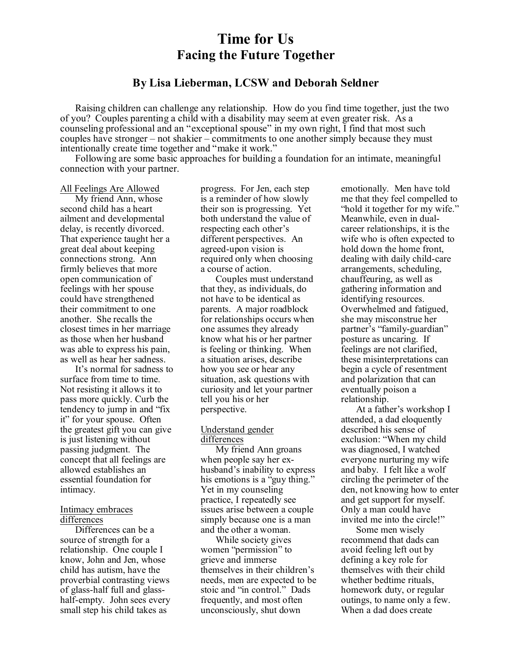# **Time for Us Facing the Future Together**

## **By Lisa Lieberman, LCSW and Deborah Seldner**

Raising children can challenge any relationship. How do you find time together, just the two of you? Couples parenting a child with a disability may seem at even greater risk. As a counseling professional and an "exceptional spouse" in my own right, I find that most such couples have stronger – not shakier – commitments to one another simply because they must intentionally create time together and "make it work."

Following are some basic approaches for building a foundation for an intimate, meaningful connection with your partner.

#### All Feelings Are Allowed

My friend Ann, whose second child has a heart ailment and developmental delay, is recently divorced. That experience taught her a great deal about keeping connections strong. Ann firmly believes that more open communication of feelings with her spouse could have strengthened their commitment to one another. She recalls the closest times in her marriage as those when her husband was able to express his pain, as well as hear her sadness.

It's normal for sadness to surface from time to time. Not resisting it allows it to pass more quickly. Curb the tendency to jump in and "fix it" for your spouse. Often the greatest gift you can give is just listening without passing judgment. The concept that all feelings are allowed establishes an essential foundation for intimacy.

#### Intimacy embraces differences

Differences can be a source of strength for a relationship. One couple I know, John and Jen, whose child has autism, have the proverbial contrasting views of glass-half full and glasshalf-empty. John sees every small step his child takes as

progress. For Jen, each step is a reminder of how slowly their son is progressing. Yet both understand the value of respecting each other's different perspectives. An agreed-upon vision is required only when choosing a course of action.

Couples must understand that they, as individuals, do not have to be identical as parents. A major roadblock for relationships occurs when one assumes they already know what his or her partner is feeling or thinking. When a situation arises, describe how you see or hear any situation, ask questions with curiosity and let your partner tell you his or her perspective.

### Understand gender differences

My friend Ann groans when people say her exhusband's inability to express his emotions is a "guy thing." Yet in my counseling practice, I repeatedly see issues arise between a couple simply because one is a man and the other a woman.

While society gives women "permission" to grieve and immerse themselves in their children's needs, men are expected to be stoic and "in control." Dads frequently, and most often unconsciously, shut down

emotionally. Men have told me that they feel compelled to "hold it together for my wife." Meanwhile, even in dualcareer relationships, it is the wife who is often expected to hold down the home front, dealing with daily child-care arrangements, scheduling, chauffeuring, as well as gathering information and identifying resources. Overwhelmed and fatigued, she may misconstrue her partner's "family-guardian" posture as uncaring. If feelings are not clarified, these misinterpretations can begin a cycle of resentment and polarization that can eventually poison a relationship.

At a father's workshop I attended, a dad eloquently described his sense of exclusion: "When my child was diagnosed, I watched everyone nurturing my wife and baby. I felt like a wolf circling the perimeter of the den, not knowing how to enter and get support for myself. Only a man could have invited me into the circle!"

Some men wisely recommend that dads can avoid feeling left out by defining a key role for themselves with their child whether bedtime rituals, homework duty, or regular outings, to name only a few. When a dad does create